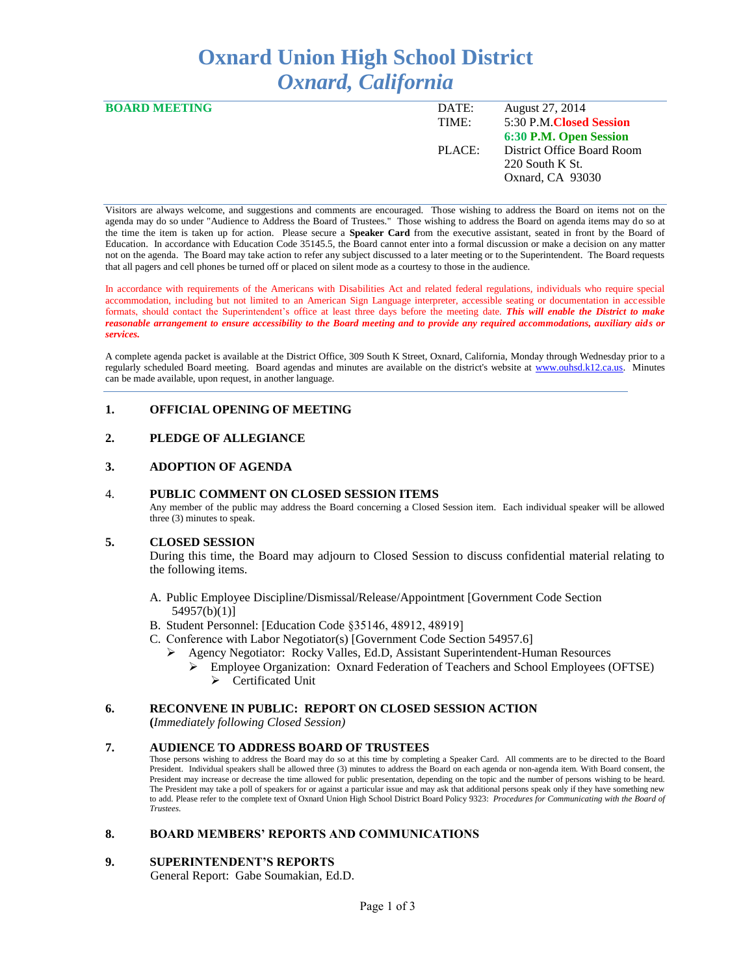# **Oxnard Union High School District** *Oxnard, California*

| <b>BOARD MEETING</b> | DATE:  | August 27, 2014            |
|----------------------|--------|----------------------------|
|                      | TIME:  | 5:30 P.M. Closed Session   |
|                      |        | 6:30 P.M. Open Session     |
|                      | PLACE: | District Office Board Room |
|                      |        | $220$ South K St.          |
|                      |        | Oxnard, CA 93030           |
|                      |        |                            |

Visitors are always welcome, and suggestions and comments are encouraged. Those wishing to address the Board on items not on the agenda may do so under "Audience to Address the Board of Trustees." Those wishing to address the Board on agenda items may do so at the time the item is taken up for action. Please secure a **Speaker Card** from the executive assistant, seated in front by the Board of Education. In accordance with Education Code 35145.5, the Board cannot enter into a formal discussion or make a decision on any matter not on the agenda. The Board may take action to refer any subject discussed to a later meeting or to the Superintendent. The Board requests that all pagers and cell phones be turned off or placed on silent mode as a courtesy to those in the audience.

In accordance with requirements of the Americans with Disabilities Act and related federal regulations, individuals who require special accommodation, including but not limited to an American Sign Language interpreter, accessible seating or documentation in accessible formats, should contact the Superintendent's office at least three days before the meeting date. *This will enable the District to make reasonable arrangement to ensure accessibility to the Board meeting and to provide any required accommodations, auxiliary aids or services.* 

A complete agenda packet is available at the District Office, 309 South K Street, Oxnard, California, Monday through Wednesday prior to a regularly scheduled Board meeting. Board agendas and minutes are available on the district's website at [www.ouhsd.k12.ca.us.](http://www.ouhsd.k12.ca.us/)Minutes can be made available, upon request, in another language.

# **1. OFFICIAL OPENING OF MEETING**

# **2. PLEDGE OF ALLEGIANCE**

### **3. ADOPTION OF AGENDA**

#### 4. **PUBLIC COMMENT ON CLOSED SESSION ITEMS**

Any member of the public may address the Board concerning a Closed Session item. Each individual speaker will be allowed three (3) minutes to speak.

#### **5. CLOSED SESSION**

During this time, the Board may adjourn to Closed Session to discuss confidential material relating to the following items.

- A. Public Employee Discipline/Dismissal/Release/Appointment [Government Code Section 54957(b)(1)]
- B. Student Personnel: [Education Code §35146, 48912, 48919]
- C. Conference with Labor Negotiator(s) [Government Code Section 54957.6]
	- Agency Negotiator: Rocky Valles, Ed.D, Assistant Superintendent-Human Resources
		- Employee Organization: Oxnard Federation of Teachers and School Employees (OFTSE) ▶ Certificated Unit

## **6. RECONVENE IN PUBLIC: REPORT ON CLOSED SESSION ACTION**

**(***Immediately following Closed Session)*

## **7. AUDIENCE TO ADDRESS BOARD OF TRUSTEES**

Those persons wishing to address the Board may do so at this time by completing a Speaker Card. All comments are to be directed to the Board President. Individual speakers shall be allowed three (3) minutes to address the Board on each agenda or non-agenda item. With Board consent, the President may increase or decrease the time allowed for public presentation, depending on the topic and the number of persons wishing to be heard. The President may take a poll of speakers for or against a particular issue and may ask that additional persons speak only if they have something new to add. Please refer to the complete text of Oxnard Union High School District Board Policy 9323: *Procedures for Communicating with the Board of Trustees.*

## **8. BOARD MEMBERS' REPORTS AND COMMUNICATIONS**

## **9. SUPERINTENDENT'S REPORTS**

General Report: Gabe Soumakian, Ed.D.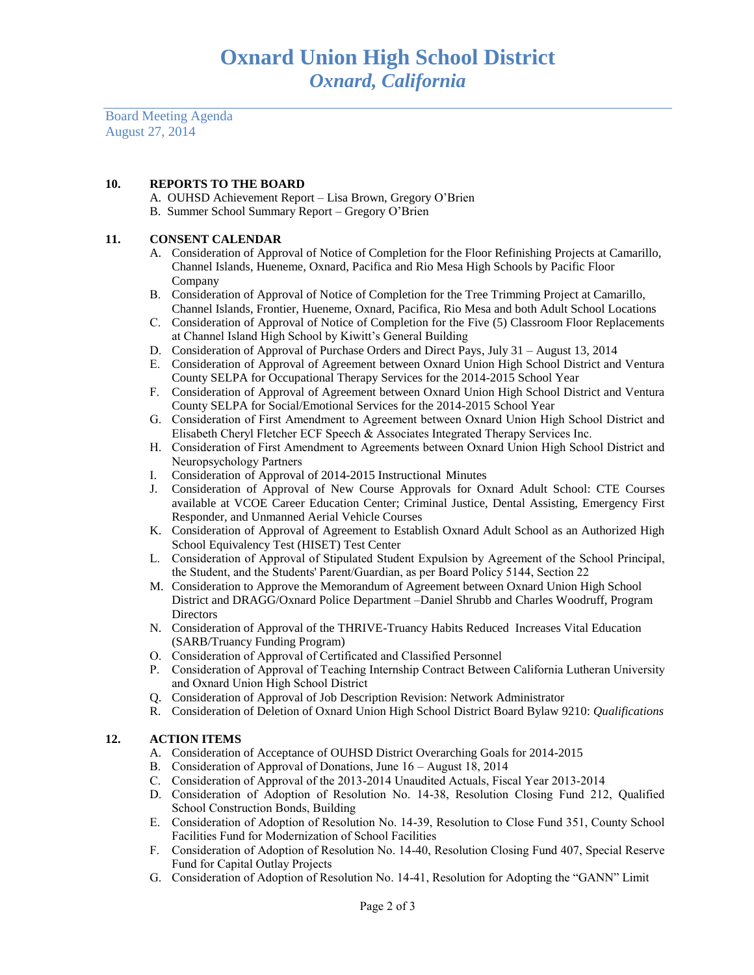Board Meeting Agenda August 27, 2014

# **10. REPORTS TO THE BOARD**

- A. OUHSD Achievement Report Lisa Brown, Gregory O'Brien
- B. Summer School Summary Report Gregory O'Brien

## **11. CONSENT CALENDAR**

- A. Consideration of Approval of Notice of Completion for the Floor Refinishing Projects at Camarillo, Channel Islands, Hueneme, Oxnard, Pacifica and Rio Mesa High Schools by Pacific Floor Company
- B. Consideration of Approval of Notice of Completion for the Tree Trimming Project at Camarillo, Channel Islands, Frontier, Hueneme, Oxnard, Pacifica, Rio Mesa and both Adult School Locations
- C. Consideration of Approval of Notice of Completion for the Five (5) Classroom Floor Replacements at Channel Island High School by Kiwitt's General Building
- D. Consideration of Approval of Purchase Orders and Direct Pays, July 31 August 13, 2014
- E. Consideration of Approval of Agreement between Oxnard Union High School District and Ventura County SELPA for Occupational Therapy Services for the 2014-2015 School Year
- F. Consideration of Approval of Agreement between Oxnard Union High School District and Ventura County SELPA for Social/Emotional Services for the 2014-2015 School Year
- G. Consideration of First Amendment to Agreement between Oxnard Union High School District and Elisabeth Cheryl Fletcher ECF Speech & Associates Integrated Therapy Services Inc.
- H. Consideration of First Amendment to Agreements between Oxnard Union High School District and Neuropsychology Partners
- I. Consideration of Approval of 2014-2015 Instructional Minutes
- J. Consideration of Approval of New Course Approvals for Oxnard Adult School: CTE Courses available at VCOE Career Education Center; Criminal Justice, Dental Assisting, Emergency First Responder, and Unmanned Aerial Vehicle Courses
- K. Consideration of Approval of Agreement to Establish Oxnard Adult School as an Authorized High School Equivalency Test (HISET) Test Center
- L. Consideration of Approval of Stipulated Student Expulsion by Agreement of the School Principal, the Student, and the Students' Parent/Guardian, as per Board Policy 5144, Section 22
- M. Consideration to Approve the Memorandum of Agreement between Oxnard Union High School District and DRAGG/Oxnard Police Department –Daniel Shrubb and Charles Woodruff, Program **Directors**
- N. Consideration of Approval of the THRIVE-Truancy Habits Reduced Increases Vital Education (SARB/Truancy Funding Program)
- O. Consideration of Approval of Certificated and Classified Personnel
- P. Consideration of Approval of Teaching Internship Contract Between California Lutheran University and Oxnard Union High School District
- Q. Consideration of Approval of Job Description Revision: Network Administrator
- R. Consideration of Deletion of Oxnard Union High School District Board Bylaw 9210: *Qualifications*

## **12. ACTION ITEMS**

- A. Consideration of Acceptance of OUHSD District Overarching Goals for 2014-2015
- B. Consideration of Approval of Donations, June 16 August 18, 2014
- C. Consideration of Approval of the 2013-2014 Unaudited Actuals, Fiscal Year 2013-2014
- D. Consideration of Adoption of Resolution No. 14-38, Resolution Closing Fund 212, Qualified School Construction Bonds, Building
- E. Consideration of Adoption of Resolution No. 14-39, Resolution to Close Fund 351, County School Facilities Fund for Modernization of School Facilities
- F. Consideration of Adoption of Resolution No. 14-40, Resolution Closing Fund 407, Special Reserve Fund for Capital Outlay Projects
- G. Consideration of Adoption of Resolution No. 14-41, Resolution for Adopting the "GANN" Limit